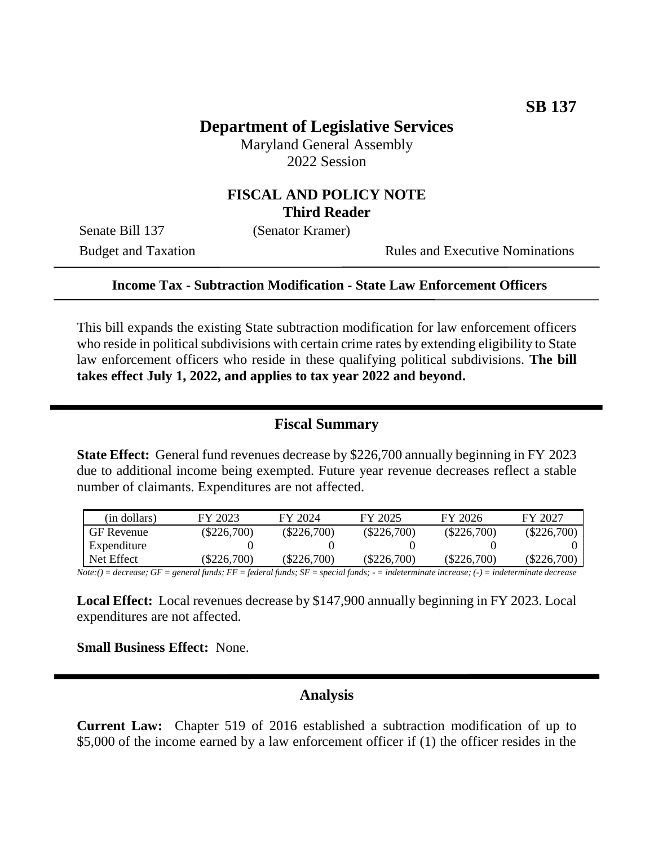# **Department of Legislative Services**

Maryland General Assembly 2022 Session

### **FISCAL AND POLICY NOTE Third Reader**

Senate Bill 137 (Senator Kramer)

Budget and Taxation Rules and Executive Nominations

#### **Income Tax - Subtraction Modification - State Law Enforcement Officers**

This bill expands the existing State subtraction modification for law enforcement officers who reside in political subdivisions with certain crime rates by extending eligibility to State law enforcement officers who reside in these qualifying political subdivisions. **The bill takes effect July 1, 2022, and applies to tax year 2022 and beyond.**

#### **Fiscal Summary**

**State Effect:** General fund revenues decrease by \$226,700 annually beginning in FY 2023 due to additional income being exempted. Future year revenue decreases reflect a stable number of claimants. Expenditures are not affected.

| (in dollars) | FY 2023       | FY 2024       | FY 2025       | FY 2026       | FY 2027       |
|--------------|---------------|---------------|---------------|---------------|---------------|
| GF Revenue   | $(\$226,700)$ | $(\$226,700)$ | $(\$226,700)$ | $(\$226,700)$ | $(\$226,700)$ |
| Expenditure  |               |               |               |               |               |
| Net Effect   | \$226,700     | $(\$226,700)$ | $(\$226,700)$ | $(\$226,700)$ | $(\$226,700)$ |

*Note:() = decrease; GF = general funds; FF = federal funds; SF = special funds; - = indeterminate increase; (-) = indeterminate decrease*

**Local Effect:** Local revenues decrease by \$147,900 annually beginning in FY 2023. Local expenditures are not affected.

**Small Business Effect:** None.

### **Analysis**

**Current Law:** Chapter 519 of 2016 established a subtraction modification of up to \$5,000 of the income earned by a law enforcement officer if (1) the officer resides in the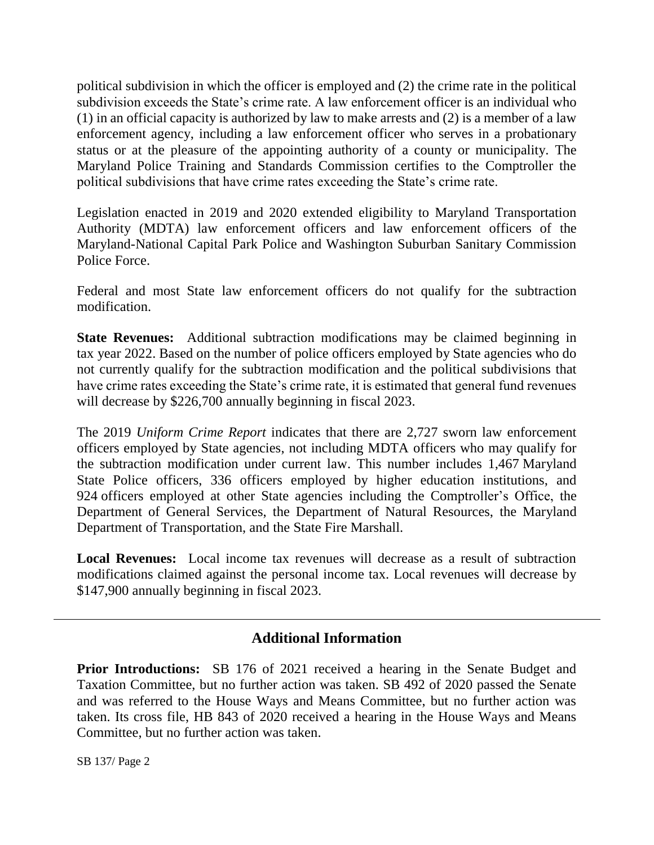political subdivision in which the officer is employed and (2) the crime rate in the political subdivision exceeds the State's crime rate. A law enforcement officer is an individual who (1) in an official capacity is authorized by law to make arrests and (2) is a member of a law enforcement agency, including a law enforcement officer who serves in a probationary status or at the pleasure of the appointing authority of a county or municipality. The Maryland Police Training and Standards Commission certifies to the Comptroller the political subdivisions that have crime rates exceeding the State's crime rate.

Legislation enacted in 2019 and 2020 extended eligibility to Maryland Transportation Authority (MDTA) law enforcement officers and law enforcement officers of the Maryland-National Capital Park Police and Washington Suburban Sanitary Commission Police Force.

Federal and most State law enforcement officers do not qualify for the subtraction modification.

**State Revenues:** Additional subtraction modifications may be claimed beginning in tax year 2022. Based on the number of police officers employed by State agencies who do not currently qualify for the subtraction modification and the political subdivisions that have crime rates exceeding the State's crime rate, it is estimated that general fund revenues will decrease by \$226,700 annually beginning in fiscal 2023.

The 2019 *Uniform Crime Report* indicates that there are 2,727 sworn law enforcement officers employed by State agencies, not including MDTA officers who may qualify for the subtraction modification under current law. This number includes 1,467 Maryland State Police officers, 336 officers employed by higher education institutions, and 924 officers employed at other State agencies including the Comptroller's Office, the Department of General Services, the Department of Natural Resources, the Maryland Department of Transportation, and the State Fire Marshall.

**Local Revenues:** Local income tax revenues will decrease as a result of subtraction modifications claimed against the personal income tax. Local revenues will decrease by \$147,900 annually beginning in fiscal 2023.

# **Additional Information**

**Prior Introductions:** SB 176 of 2021 received a hearing in the Senate Budget and Taxation Committee, but no further action was taken. SB 492 of 2020 passed the Senate and was referred to the House Ways and Means Committee, but no further action was taken. Its cross file, HB 843 of 2020 received a hearing in the House Ways and Means Committee, but no further action was taken.